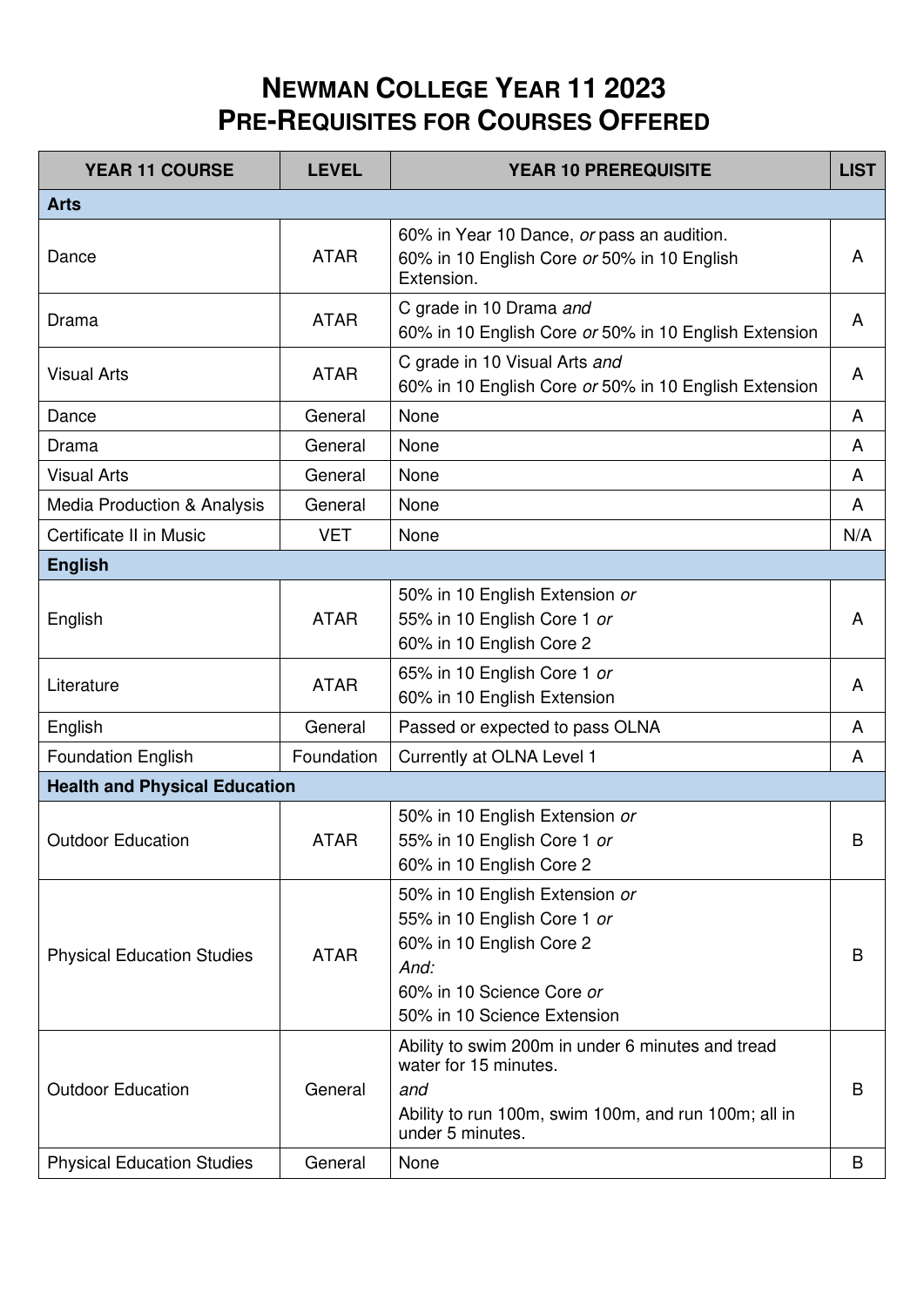## **NEWMAN COLLEGE YEAR 11 2023 PRE-REQUISITES FOR COURSES OFFERED**

| <b>Arts</b><br>60% in Year 10 Dance, or pass an audition.<br><b>ATAR</b><br>Dance<br>A<br>60% in 10 English Core or 50% in 10 English<br>Extension.<br>C grade in 10 Drama and<br><b>ATAR</b><br>A<br>Drama<br>60% in 10 English Core or 50% in 10 English Extension<br>C grade in 10 Visual Arts and<br><b>ATAR</b><br><b>Visual Arts</b><br>A<br>60% in 10 English Core or 50% in 10 English Extension<br>None<br>General<br>Dance<br>A<br>None<br>General<br>A<br>Drama<br><b>Visual Arts</b><br>General<br>None<br>A<br><b>Media Production &amp; Analysis</b><br>General<br>None<br>A<br>Certificate II in Music<br><b>VET</b><br>None<br>N/A<br><b>English</b><br>50% in 10 English Extension or<br><b>ATAR</b><br>55% in 10 English Core 1 or<br>English<br>A<br>60% in 10 English Core 2<br>65% in 10 English Core 1 or<br><b>ATAR</b><br>Literature<br>A<br>60% in 10 English Extension<br>English<br>General<br>Passed or expected to pass OLNA<br>A<br>Foundation<br>Currently at OLNA Level 1<br><b>Foundation English</b><br>A<br><b>Health and Physical Education</b><br>50% in 10 English Extension or<br>55% in 10 English Core 1 or<br><b>Outdoor Education</b><br><b>ATAR</b><br>B<br>60% in 10 English Core 2<br>50% in 10 English Extension or<br>55% in 10 English Core 1 or<br>60% in 10 English Core 2<br><b>ATAR</b><br><b>Physical Education Studies</b><br>В<br>And:<br>60% in 10 Science Core or<br>50% in 10 Science Extension<br>Ability to swim 200m in under 6 minutes and tread<br>water for 15 minutes.<br><b>Outdoor Education</b><br>General<br>and<br>B<br>Ability to run 100m, swim 100m, and run 100m; all in<br>under 5 minutes. | <b>YEAR 11 COURSE</b>             | <b>LEVEL</b> | <b>YEAR 10 PREREQUISITE</b> | <b>LIST</b> |  |  |
|-------------------------------------------------------------------------------------------------------------------------------------------------------------------------------------------------------------------------------------------------------------------------------------------------------------------------------------------------------------------------------------------------------------------------------------------------------------------------------------------------------------------------------------------------------------------------------------------------------------------------------------------------------------------------------------------------------------------------------------------------------------------------------------------------------------------------------------------------------------------------------------------------------------------------------------------------------------------------------------------------------------------------------------------------------------------------------------------------------------------------------------------------------------------------------------------------------------------------------------------------------------------------------------------------------------------------------------------------------------------------------------------------------------------------------------------------------------------------------------------------------------------------------------------------------------------------------------------------------------------------------------------------------------------------|-----------------------------------|--------------|-----------------------------|-------------|--|--|
|                                                                                                                                                                                                                                                                                                                                                                                                                                                                                                                                                                                                                                                                                                                                                                                                                                                                                                                                                                                                                                                                                                                                                                                                                                                                                                                                                                                                                                                                                                                                                                                                                                                                         |                                   |              |                             |             |  |  |
|                                                                                                                                                                                                                                                                                                                                                                                                                                                                                                                                                                                                                                                                                                                                                                                                                                                                                                                                                                                                                                                                                                                                                                                                                                                                                                                                                                                                                                                                                                                                                                                                                                                                         |                                   |              |                             |             |  |  |
|                                                                                                                                                                                                                                                                                                                                                                                                                                                                                                                                                                                                                                                                                                                                                                                                                                                                                                                                                                                                                                                                                                                                                                                                                                                                                                                                                                                                                                                                                                                                                                                                                                                                         |                                   |              |                             |             |  |  |
|                                                                                                                                                                                                                                                                                                                                                                                                                                                                                                                                                                                                                                                                                                                                                                                                                                                                                                                                                                                                                                                                                                                                                                                                                                                                                                                                                                                                                                                                                                                                                                                                                                                                         |                                   |              |                             |             |  |  |
|                                                                                                                                                                                                                                                                                                                                                                                                                                                                                                                                                                                                                                                                                                                                                                                                                                                                                                                                                                                                                                                                                                                                                                                                                                                                                                                                                                                                                                                                                                                                                                                                                                                                         |                                   |              |                             |             |  |  |
|                                                                                                                                                                                                                                                                                                                                                                                                                                                                                                                                                                                                                                                                                                                                                                                                                                                                                                                                                                                                                                                                                                                                                                                                                                                                                                                                                                                                                                                                                                                                                                                                                                                                         |                                   |              |                             |             |  |  |
|                                                                                                                                                                                                                                                                                                                                                                                                                                                                                                                                                                                                                                                                                                                                                                                                                                                                                                                                                                                                                                                                                                                                                                                                                                                                                                                                                                                                                                                                                                                                                                                                                                                                         |                                   |              |                             |             |  |  |
|                                                                                                                                                                                                                                                                                                                                                                                                                                                                                                                                                                                                                                                                                                                                                                                                                                                                                                                                                                                                                                                                                                                                                                                                                                                                                                                                                                                                                                                                                                                                                                                                                                                                         |                                   |              |                             |             |  |  |
|                                                                                                                                                                                                                                                                                                                                                                                                                                                                                                                                                                                                                                                                                                                                                                                                                                                                                                                                                                                                                                                                                                                                                                                                                                                                                                                                                                                                                                                                                                                                                                                                                                                                         |                                   |              |                             |             |  |  |
|                                                                                                                                                                                                                                                                                                                                                                                                                                                                                                                                                                                                                                                                                                                                                                                                                                                                                                                                                                                                                                                                                                                                                                                                                                                                                                                                                                                                                                                                                                                                                                                                                                                                         |                                   |              |                             |             |  |  |
|                                                                                                                                                                                                                                                                                                                                                                                                                                                                                                                                                                                                                                                                                                                                                                                                                                                                                                                                                                                                                                                                                                                                                                                                                                                                                                                                                                                                                                                                                                                                                                                                                                                                         |                                   |              |                             |             |  |  |
|                                                                                                                                                                                                                                                                                                                                                                                                                                                                                                                                                                                                                                                                                                                                                                                                                                                                                                                                                                                                                                                                                                                                                                                                                                                                                                                                                                                                                                                                                                                                                                                                                                                                         |                                   |              |                             |             |  |  |
|                                                                                                                                                                                                                                                                                                                                                                                                                                                                                                                                                                                                                                                                                                                                                                                                                                                                                                                                                                                                                                                                                                                                                                                                                                                                                                                                                                                                                                                                                                                                                                                                                                                                         |                                   |              |                             |             |  |  |
|                                                                                                                                                                                                                                                                                                                                                                                                                                                                                                                                                                                                                                                                                                                                                                                                                                                                                                                                                                                                                                                                                                                                                                                                                                                                                                                                                                                                                                                                                                                                                                                                                                                                         |                                   |              |                             |             |  |  |
|                                                                                                                                                                                                                                                                                                                                                                                                                                                                                                                                                                                                                                                                                                                                                                                                                                                                                                                                                                                                                                                                                                                                                                                                                                                                                                                                                                                                                                                                                                                                                                                                                                                                         |                                   |              |                             |             |  |  |
|                                                                                                                                                                                                                                                                                                                                                                                                                                                                                                                                                                                                                                                                                                                                                                                                                                                                                                                                                                                                                                                                                                                                                                                                                                                                                                                                                                                                                                                                                                                                                                                                                                                                         |                                   |              |                             |             |  |  |
|                                                                                                                                                                                                                                                                                                                                                                                                                                                                                                                                                                                                                                                                                                                                                                                                                                                                                                                                                                                                                                                                                                                                                                                                                                                                                                                                                                                                                                                                                                                                                                                                                                                                         |                                   |              |                             |             |  |  |
|                                                                                                                                                                                                                                                                                                                                                                                                                                                                                                                                                                                                                                                                                                                                                                                                                                                                                                                                                                                                                                                                                                                                                                                                                                                                                                                                                                                                                                                                                                                                                                                                                                                                         | <b>Physical Education Studies</b> | General      | None                        | B           |  |  |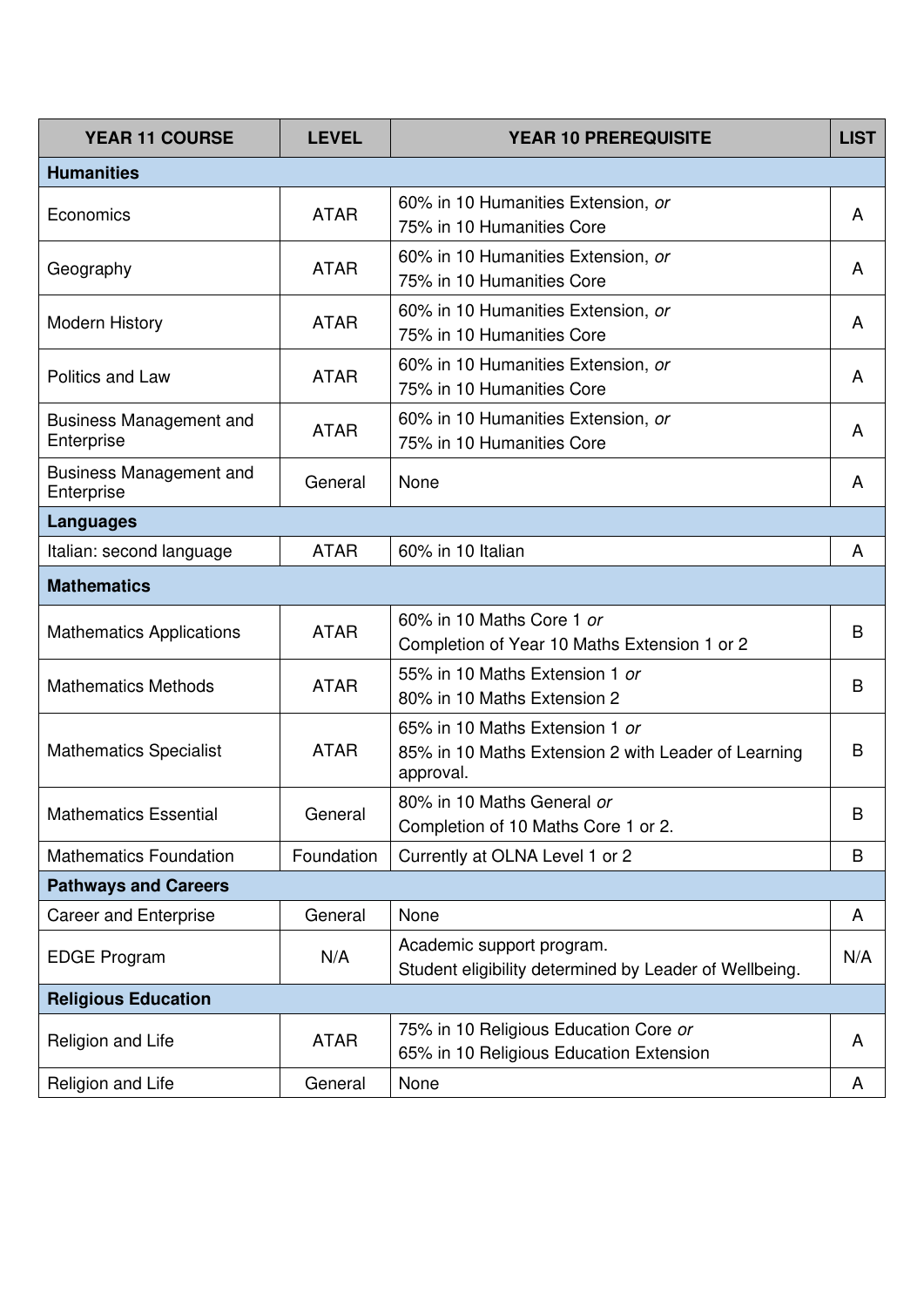| <b>YEAR 11 COURSE</b>                        | <b>LEVEL</b> | <b>YEAR 10 PREREQUISITE</b>                                                                        | <b>LIST</b> |  |  |
|----------------------------------------------|--------------|----------------------------------------------------------------------------------------------------|-------------|--|--|
| <b>Humanities</b>                            |              |                                                                                                    |             |  |  |
| Economics                                    | <b>ATAR</b>  | 60% in 10 Humanities Extension, or<br>75% in 10 Humanities Core                                    | A           |  |  |
| Geography                                    | <b>ATAR</b>  | 60% in 10 Humanities Extension, or<br>75% in 10 Humanities Core                                    | A           |  |  |
| <b>Modern History</b>                        | <b>ATAR</b>  | 60% in 10 Humanities Extension, or<br>75% in 10 Humanities Core                                    | A           |  |  |
| Politics and Law                             | <b>ATAR</b>  | 60% in 10 Humanities Extension, or<br>75% in 10 Humanities Core                                    | A           |  |  |
| <b>Business Management and</b><br>Enterprise | <b>ATAR</b>  | 60% in 10 Humanities Extension, or<br>75% in 10 Humanities Core                                    | A           |  |  |
| <b>Business Management and</b><br>Enterprise | General      | None                                                                                               | A           |  |  |
| <b>Languages</b>                             |              |                                                                                                    |             |  |  |
| Italian: second language                     | <b>ATAR</b>  | 60% in 10 Italian                                                                                  | A           |  |  |
| <b>Mathematics</b>                           |              |                                                                                                    |             |  |  |
| <b>Mathematics Applications</b>              | <b>ATAR</b>  | 60% in 10 Maths Core 1 or<br>Completion of Year 10 Maths Extension 1 or 2                          | B           |  |  |
| <b>Mathematics Methods</b>                   | <b>ATAR</b>  | 55% in 10 Maths Extension 1 or<br>80% in 10 Maths Extension 2                                      | B           |  |  |
| <b>Mathematics Specialist</b>                | <b>ATAR</b>  | 65% in 10 Maths Extension 1 or<br>85% in 10 Maths Extension 2 with Leader of Learning<br>approval. | B           |  |  |
| <b>Mathematics Essential</b>                 | General      | 80% in 10 Maths General or<br>Completion of 10 Maths Core 1 or 2.                                  | B           |  |  |
| <b>Mathematics Foundation</b>                | Foundation   | Currently at OLNA Level 1 or 2                                                                     | B           |  |  |
| <b>Pathways and Careers</b>                  |              |                                                                                                    |             |  |  |
| <b>Career and Enterprise</b>                 | General      | None                                                                                               | A           |  |  |
| <b>EDGE Program</b>                          | N/A          | Academic support program.<br>Student eligibility determined by Leader of Wellbeing.                | N/A         |  |  |
| <b>Religious Education</b>                   |              |                                                                                                    |             |  |  |
| Religion and Life                            | <b>ATAR</b>  | 75% in 10 Religious Education Core or<br>65% in 10 Religious Education Extension                   | A           |  |  |
| Religion and Life                            | General      | None                                                                                               | A           |  |  |